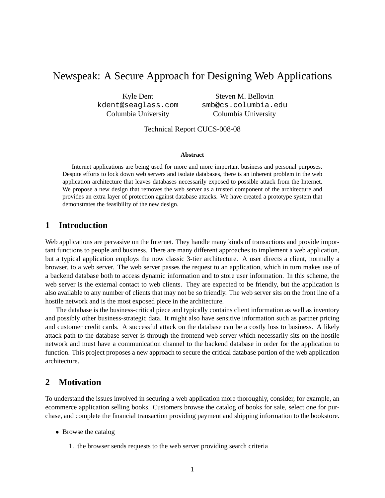# Newspeak: A Secure Approach for Designing Web Applications

Kyle Dent kdent@seaglass.com Columbia University

Steven M. Bellovin smb@cs.columbia.edu Columbia University

Technical Report CUCS-008-08

#### **Abstract**

Internet applications are being used for more and more important business and personal purposes. Despite efforts to lock down web servers and isolate databases, there is an inherent problem in the web application architecture that leaves databases necessarily exposed to possible attack from the Internet. We propose a new design that removes the web server as a trusted component of the architecture and provides an extra layer of protection against database attacks. We have created a prototype system that demonstrates the feasibility of the new design.

## **1 Introduction**

Web applications are pervasive on the Internet. They handle many kinds of transactions and provide important functions to people and business. There are many different approaches to implement a web application, but a typical application employs the now classic 3-tier architecture. A user directs a client, normally a browser, to a web server. The web server passes the request to an application, which in turn makes use of a backend database both to access dynamic information and to store user information. In this scheme, the web server is the external contact to web clients. They are expected to be friendly, but the application is also available to any number of clients that may not be so friendly. The web server sits on the front line of a hostile network and is the most exposed piece in the architecture.

The database is the business-critical piece and typically contains client information as well as inventory and possibly other business-strategic data. It might also have sensitive information such as partner pricing and customer credit cards. A successful attack on the database can be a costly loss to business. A likely attack path to the database server is through the frontend web server which necessarily sits on the hostile network and must have a communication channel to the backend database in order for the application to function. This project proposes a new approach to secure the critical database portion of the web application architecture.

### **2 Motivation**

To understand the issues involved in securing a web application more thoroughly, consider, for example, an ecommerce application selling books. Customers browse the catalog of books for sale, select one for purchase, and complete the financial transaction providing payment and shipping information to the bookstore.

- Browse the catalog
	- 1. the browser sends requests to the web server providing search criteria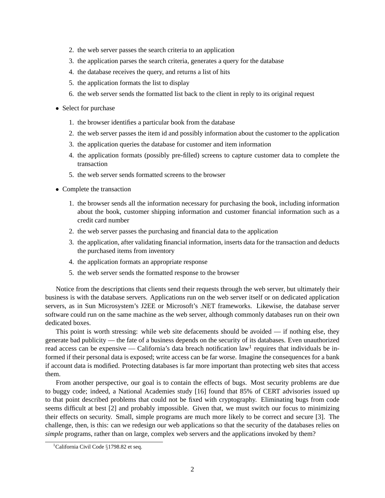- 2. the web server passes the search criteria to an application
- 3. the application parses the search criteria, generates a query for the database
- 4. the database receives the query, and returns a list of hits
- 5. the application formats the list to display
- 6. the web server sends the formatted list back to the client in reply to its original request
- Select for purchase
	- 1. the browser identifies a particular book from the database
	- 2. the web server passes the item id and possibly information about the customer to the application
	- 3. the application queries the database for customer and item information
	- 4. the application formats (possibly pre-filled) screens to capture customer data to complete the transaction
	- 5. the web server sends formatted screens to the browser
- Complete the transaction
	- 1. the browser sends all the information necessary for purchasing the book, including information about the book, customer shipping information and customer financial information such as a credit card number
	- 2. the web server passes the purchasing and financial data to the application
	- 3. the application, after validating financial information, inserts data for the transaction and deducts the purchased items from inventory
	- 4. the application formats an appropriate response
	- 5. the web server sends the formatted response to the browser

Notice from the descriptions that clients send their requests through the web server, but ultimately their business is with the database servers. Applications run on the web server itself or on dedicated application servers, as in Sun Microsystem's J2EE or Microsoft's .NET frameworks. Likewise, the database server software could run on the same machine as the web server, although commonly databases run on their own dedicated boxes.

This point is worth stressing: while web site defacements should be avoided — if nothing else, they generate bad publicity — the fate of a business depends on the security of its databases. Even unauthorized read access can be expensive — California's data breach notification law<sup>1</sup> requires that individuals be informed if their personal data is exposed; write access can be far worse. Imagine the consequences for a bank if account data is modified. Protecting databases is far more important than protecting web sites that access them.

From another perspective, our goal is to contain the effects of bugs. Most security problems are due to buggy code; indeed, a National Academies study [16] found that 85% of CERT advisories issued up to that point described problems that could not be fixed with cryptography. Eliminating bugs from code seems difficult at best [2] and probably impossible. Given that, we must switch our focus to minimizing their effects on security. Small, simple programs are much more likely to be correct and secure [3]. The challenge, then, is this: can we redesign our web applications so that the security of the databases relies on *simple* programs, rather than on large, complex web servers and the applications invoked by them?

<sup>&</sup>lt;sup>1</sup>California Civil Code  $\S$ 1798.82 et seq.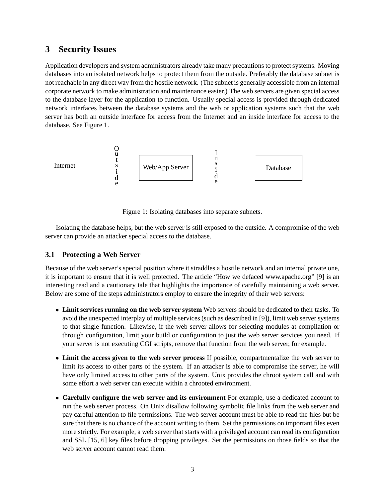# **3 Security Issues**

Application developers and system administrators already take many precautions to protect systems. Moving databases into an isolated network helps to protect them from the outside. Preferably the database subnet is not reachable in any direct way from the hostile network. (The subnet is generally accessible from an internal corporate network to make administration and maintenance easier.) The web servers are given special access to the database layer for the application to function. Usually special access is provided through dedicated network interfaces between the database systems and the web or application systems such that the web server has both an outside interface for access from the Internet and an inside interface for access to the database. See Figure 1.



Figure 1: Isolating databases into separate subnets.

Isolating the database helps, but the web server is still exposed to the outside. A compromise of the web server can provide an attacker special access to the database.

## **3.1 Protecting a Web Server**

Because of the web server's special position where it straddles a hostile network and an internal private one, it is important to ensure that it is well protected. The article "How we defaced www.apache.org" [9] is an interesting read and a cautionary tale that highlights the importance of carefully maintaining a web server. Below are some of the steps administrators employ to ensure the integrity of their web servers:

- **Limit services running on the web server system** Web servers should be dedicated to their tasks. To avoid the unexpected interplay of multiple services (such as described in [9]), limit web server systems to that single function. Likewise, if the web server allows for selecting modules at compilation or through configuration, limit your build or configuration to just the web server services you need. If your server is not executing CGI scripts, remove that function from the web server, for example.
- **Limit the access given to the web server process** If possible, compartmentalize the web server to limit its access to other parts of the system. If an attacker is able to compromise the server, he will have only limited access to other parts of the system. Unix provides the chroot system call and with some effort a web server can execute within a chrooted environment.
- **Carefully configure the web server and its environment** For example, use a dedicated account to run the web server process. On Unix disallow following symbolic file links from the web server and pay careful attention to file permissions. The web server account must be able to read the files but be sure that there is no chance of the account writing to them. Set the permissions on important files even more strictly. For example, a web server that starts with a privileged account can read its configuration and SSL [15, 6] key files before dropping privileges. Set the permissions on those fields so that the web server account cannot read them.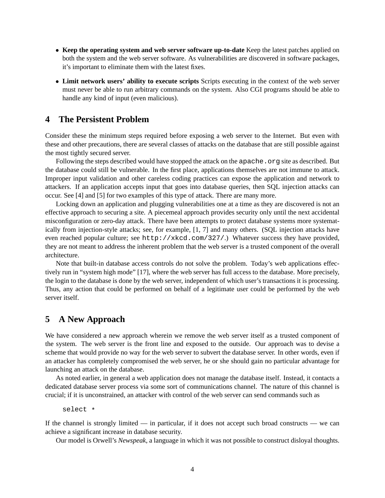- **Keep the operating system and web server software up-to-date** Keep the latest patches applied on both the system and the web server software. As vulnerabilities are discovered in software packages, it's important to eliminate them with the latest fixes.
- **Limit network users' ability to execute scripts** Scripts executing in the context of the web server must never be able to run arbitrary commands on the system. Also CGI programs should be able to handle any kind of input (even malicious).

## **4 The Persistent Problem**

Consider these the minimum steps required before exposing a web server to the Internet. But even with these and other precautions, there are several classes of attacks on the database that are still possible against the most tightly secured server.

Following the steps described would have stopped the attack on the apache.org site as described. But the database could still be vulnerable. In the first place, applications themselves are not immune to attack. Improper input validation and other careless coding practices can expose the application and network to attackers. If an application accepts input that goes into database queries, then SQL injection attacks can occur. See [4] and [5] for two examples of this type of attack. There are many more.

Locking down an application and plugging vulnerabilities one at a time as they are discovered is not an effective approach to securing a site. A piecemeal approach provides security only until the next accidental misconfiguration or zero-day attack. There have been attempts to protect database systems more systematically from injection-style attacks; see, for example, [1, 7] and many others. (SQL injection attacks have even reached popular culture; see http://xkcd.com/327/.) Whatever success they have provided, they are not meant to address the inherent problem that the web server is a trusted component of the overall architecture.

Note that built-in database access controls do not solve the problem. Today's web applications effectively run in "system high mode" [17], where the web server has full access to the database. More precisely, the login to the database is done by the web server, independent of which user's transactions it is processing. Thus, any action that could be performed on behalf of a legitimate user could be performed by the web server itself.

### **5 A New Approach**

We have considered a new approach wherein we remove the web server itself as a trusted component of the system. The web server is the front line and exposed to the outside. Our approach was to devise a scheme that would provide no way for the web server to subvert the database server. In other words, even if an attacker has completely compromised the web server, he or she should gain no particular advantage for launching an attack on the database.

As noted earlier, in general a web application does not manage the database itself. Instead, it contacts a dedicated database server process via some sort of communications channel. The nature of this channel is crucial; if it is unconstrained, an attacker with control of the web server can send commands such as

select \*

If the channel is strongly limited — in particular, if it does not accept such broad constructs — we can achieve a significant increase in database security.

Our model is Orwell's *Newspeak*, a language in which it was not possible to construct disloyal thoughts.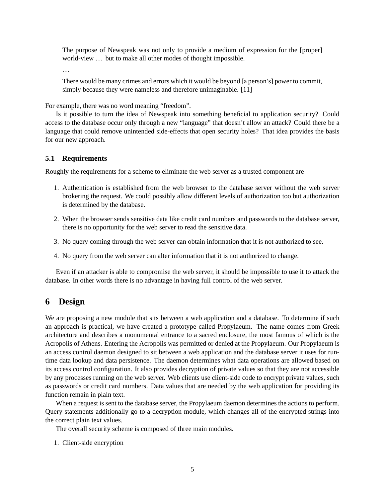The purpose of Newspeak was not only to provide a medium of expression for the [proper] world-view ... but to make all other modes of thought impossible.

. . .

There would be many crimes and errors which it would be beyond [a person's] power to commit, simply because they were nameless and therefore unimaginable. [11]

For example, there was no word meaning "freedom".

Is it possible to turn the idea of Newspeak into something beneficial to application security? Could access to the database occur only through a new "language" that doesn't allow an attack? Could there be a language that could remove unintended side-effects that open security holes? That idea provides the basis for our new approach.

#### **5.1 Requirements**

Roughly the requirements for a scheme to eliminate the web server as a trusted component are

- 1. Authentication is established from the web browser to the database server without the web server brokering the request. We could possibly allow different levels of authorization too but authorization is determined by the database.
- 2. When the browser sends sensitive data like credit card numbers and passwords to the database server, there is no opportunity for the web server to read the sensitive data.
- 3. No query coming through the web server can obtain information that it is not authorized to see.
- 4. No query from the web server can alter information that it is not authorized to change.

Even if an attacker is able to compromise the web server, it should be impossible to use it to attack the database. In other words there is no advantage in having full control of the web server.

## **6 Design**

We are proposing a new module that sits between a web application and a database. To determine if such an approach is practical, we have created a prototype called Propylaeum. The name comes from Greek architecture and describes a monumental entrance to a sacred enclosure, the most famous of which is the Acropolis of Athens. Entering the Acropolis was permitted or denied at the Propylaeum. Our Propylaeum is an access control daemon designed to sit between a web application and the database server it uses for runtime data lookup and data persistence. The daemon determines what data operations are allowed based on its access control configuration. It also provides decryption of private values so that they are not accessible by any processes running on the web server. Web clients use client-side code to encrypt private values, such as passwords or credit card numbers. Data values that are needed by the web application for providing its function remain in plain text.

When a request is sent to the database server, the Propylaeum daemon determines the actions to perform. Query statements additionally go to a decryption module, which changes all of the encrypted strings into the correct plain text values.

The overall security scheme is composed of three main modules.

1. Client-side encryption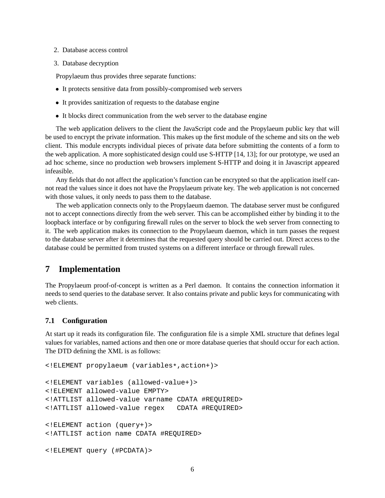- 2. Database access control
- 3. Database decryption

Propylaeum thus provides three separate functions:

- It protects sensitive data from possibly-compromised web servers
- It provides sanitization of requests to the database engine
- It blocks direct communication from the web server to the database engine

The web application delivers to the client the JavaScript code and the Propylaeum public key that will be used to encrypt the private information. This makes up the first module of the scheme and sits on the web client. This module encrypts individual pieces of private data before submitting the contents of a form to the web application. A more sophisticated design could use S-HTTP [14, 13]; for our prototype, we used an ad hoc scheme, since no production web browsers implement S-HTTP and doing it in Javascript appeared infeasible.

Any fields that do not affect the application's function can be encrypted so that the application itself cannot read the values since it does not have the Propylaeum private key. The web application is not concerned with those values, it only needs to pass them to the database.

The web application connects only to the Propylaeum daemon. The database server must be configured not to accept connections directly from the web server. This can be accomplished either by binding it to the loopback interface or by configuring firewall rules on the server to block the web server from connecting to it. The web application makes its connection to the Propylaeum daemon, which in turn passes the request to the database server after it determines that the requested query should be carried out. Direct access to the database could be permitted from trusted systems on a different interface or through firewall rules.

## **7 Implementation**

The Propylaeum proof-of-concept is written as a Perl daemon. It contains the connection information it needs to send queries to the database server. It also contains private and public keys for communicating with web clients.

#### **7.1 Configuration**

At start up it reads its configuration file. The configuration file is a simple XML structure that defines legal values for variables, named actions and then one or more database queries that should occur for each action. The DTD defining the XML is as follows:

```
<!ELEMENT propylaeum (variables*,action+)>
<!ELEMENT variables (allowed-value+)>
<!ELEMENT allowed-value EMPTY>
<!ATTLIST allowed-value varname CDATA #REQUIRED>
<!ATTLIST allowed-value regex CDATA #REQUIRED>
<!ELEMENT action (query+)>
<!ATTLIST action name CDATA #REQUIRED>
<!ELEMENT query (#PCDATA)>
```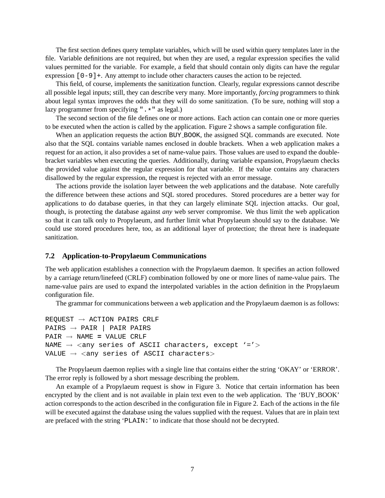The first section defines query template variables, which will be used within query templates later in the file. Variable definitions are not required, but when they are used, a regular expression specifies the valid values permitted for the variable. For example, a field that should contain only digits can have the regular expression  $[0-9]+$ . Any attempt to include other characters causes the action to be rejected.

This field, of course, implements the sanitization function. Clearly, regular expressions cannot describe all possible legal inputs; still, they can describe very many. More importantly, *forcing* programmers to think about legal syntax improves the odds that they will do some sanitization. (To be sure, nothing will stop a lazy programmer from specifying ". \* " as legal.)

The second section of the file defines one or more actions. Each action can contain one or more queries to be executed when the action is called by the application. Figure 2 shows a sample configuration file.

When an application requests the action BUY\_BOOK, the assigned SQL commands are executed. Note also that the SQL contains variable names enclosed in double brackets. When a web application makes a request for an action, it also provides a set of name-value pairs. Those values are used to expand the doublebracket variables when executing the queries. Additionally, during variable expansion, Propylaeum checks the provided value against the regular expression for that variable. If the value contains any characters disallowed by the regular expression, the request is rejected with an error message.

The actions provide the isolation layer between the web applications and the database. Note carefully the difference between these actions and SQL stored procedures. Stored procedures are a better way for applications to do database queries, in that they can largely eliminate SQL injection attacks. Our goal, though, is protecting the database against *any* web server compromise. We thus limit the web application so that it can talk only to Propylaeum, and further limit what Propylaeum should say to the database. We could use stored procedures here, too, as an additional layer of protection; the threat here is inadequate sanitization.

#### **7.2 Application-to-Propylaeum Communications**

The web application establishes a connection with the Propylaeum daemon. It specifies an action followed by a carriage return/linefeed (CRLF) combination followed by one or more lines of name-value pairs. The name-value pairs are used to expand the interpolated variables in the action definition in the Propylaeum configuration file.

The grammar for communications between a web application and the Propylaeum daemon is as follows:

```
REQUEST \rightarrow ACTION PAIRS CRLF
PAIRS \rightarrow PAIR | PAIR PAIRS
PAIR → NAME = VALUE CRLF
NAME \rightarrow \langleany series of ASCII characters, except '='>
VALUE \rightarrow <any series of ASCII characters>
```
The Propylaeum daemon replies with a single line that contains either the string 'OKAY' or 'ERROR'. The error reply is followed by a short message describing the problem.

An example of a Propylaeum request is show in Figure 3. Notice that certain information has been encrypted by the client and is not available in plain text even to the web application. The 'BUY BOOK' action corresponds to the action described in the configuration file in Figure 2. Each of the actions in the file will be executed against the database using the values supplied with the request. Values that are in plain text are prefaced with the string 'PLAIN:' to indicate that those should not be decrypted.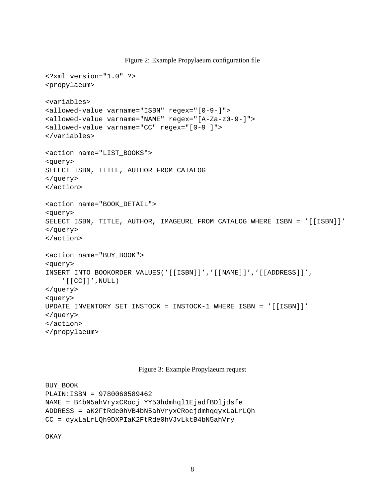Figure 2: Example Propylaeum configuration file

```
<?xml version="1.0" ?>
<propylaeum>
<variables>
<allowed-value varname="ISBN" regex="[0-9-]">
<allowed-value varname="NAME" regex="[A-Za-z0-9-]">
<allowed-value varname="CC" regex="[0-9 ]">
</variables>
<action name="LIST_BOOKS">
<query>
SELECT ISBN, TITLE, AUTHOR FROM CATALOG
</query>
</action>
<action name="BOOK_DETAIL">
<query>
SELECT ISBN, TITLE, AUTHOR, IMAGEURL FROM CATALOG WHERE ISBN = '[[ISBN]]'
</query>
</action>
<action name="BUY_BOOK">
<query>
INSERT INTO BOOKORDER VALUES('[[ISBN]]','[[NAME]]','[[ADDRESS]]',
    '[[CC]]', NULL)
</query>
<query>
UPDATE INVENTORY SET INSTOCK = INSTOCK-1 WHERE ISBN = '[[ISBN]]'
</query>
</action>
</propylaeum>
```
#### Figure 3: Example Propylaeum request

```
BUY_BOOK
PLAIN:ISBN = 9780060589462
NAME = B4bN5ahVryxCRocj_YY50hdmhql1EjadfBDljdsfe
ADDRESS = aK2FtRde0hVB4bN5ahVryxCRocjdmhqqyxLaLrLQh
CC = qyxLaLrLQh9DXPIaK2FtRde0hVJvLktB4bN5ahVry
```
OKAY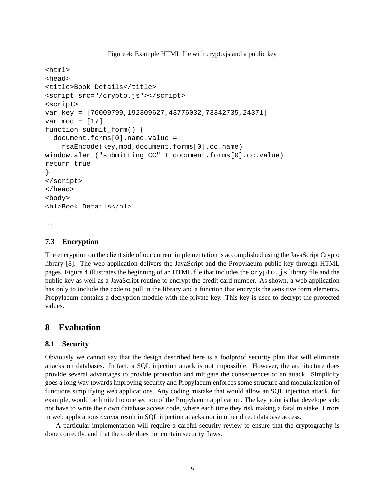Figure 4: Example HTML file with crypto.js and a public key

```
<html>
<head>
<title>Book Details</title>
<script src="/crypto.js"></script>
<script>
var key = [76009799,192309627,43776032,73342735,24371]
var mod = [17]
function submit_form() {
  document.forms[0].name.value =
    rsaEncode(key,mod,document.forms[0].cc.name)
window.alert("submitting CC" + document.forms[0].cc.value)
return true
}
</script>
</head>
<body>
<h1>Book Details</h1>
. . .
```
**7.3 Encryption**

The encryption on the client side of our current implementation is accomplished using the JavaScript Crypto library [8]. The web application delivers the JavaScript and the Propylaeum public key through HTML pages. Figure 4 illustrates the beginning of an HTML file that includes the crypto.js library file and the public key as well as a JavaScript routine to encrypt the credit card number. As shown, a web application has only to include the code to pull in the library and a function that encrypts the sensitive form elements. Propylaeum contains a decryption module with the private key. This key is used to decrypt the protected values.

## **8 Evaluation**

#### **8.1 Security**

Obviously we cannot say that the design described here is a foolproof security plan that will eliminate attacks on databases. In fact, a SQL injection attack is not impossible. However, the architecture does provide several advantages to provide protection and mitigate the consequences of an attack. Simplicity goes a long way towards improving security and Propylaeum enforces some structure and modularization of functions simplifying web applications. Any coding mistake that would allow an SQL injection attack, for example, would be limited to one section of the Propylaeum application. The key point is that developers do not have to write their own database access code, where each time they risk making a fatal mistake. Errors in web applications *cannot* result in SQL injection attacks nor in other direct database access.

A particular implementation will require a careful security review to ensure that the cryptography is done correctly, and that the code does not contain security flaws.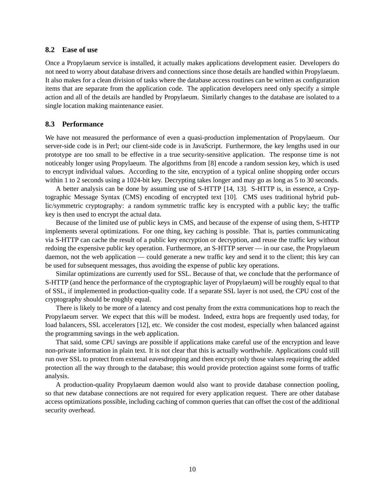#### **8.2 Ease of use**

Once a Propylaeum service is installed, it actually makes applications development easier. Developers do not need to worry about database drivers and connections since those details are handled within Propylaeum. It also makes for a clean division of tasks where the database access routines can be written as configuration items that are separate from the application code. The application developers need only specify a simple action and all of the details are handled by Propylaeum. Similarly changes to the database are isolated to a single location making maintenance easier.

#### **8.3 Performance**

We have not measured the performance of even a quasi-production implementation of Propylaeum. Our server-side code is in Perl; our client-side code is in JavaScript. Furthermore, the key lengths used in our prototype are too small to be effective in a true security-sensitive application. The response time is not noticeably longer using Propylaeum. The algorithms from [8] encode a random session key, which is used to encrypt individual values. According to the site, encryption of a typical online shopping order occurs within 1 to 2 seconds using a 1024-bit key. Decrypting takes longer and may go as long as 5 to 30 seconds.

A better analysis can be done by assuming use of S-HTTP [14, 13]. S-HTTP is, in essence, a Cryptographic Message Syntax (CMS) encoding of encrypted text [10]. CMS uses traditional hybrid public/symmetric cryptography: a random symmetric traffic key is encrypted with a public key; the traffic key is then used to encrypt the actual data.

Because of the limited use of public keys in CMS, and because of the expense of using them, S-HTTP implements several optimizations. For one thing, key caching is possible. That is, parties communicating via S-HTTP can cache the result of a public key encryption or decryption, and reuse the traffic key without redoing the expensive public key operation. Furthermore, an S-HTTP server — in our case, the Propylaeum daemon, not the web application — could generate a new traffic key and send it to the client; this key can be used for subsequent messages, thus avoiding the expense of public key operations.

Similar optimizations are currently used for SSL. Because of that, we conclude that the performance of S-HTTP (and hence the performance of the cryptographic layer of Propylaeum) will be roughly equal to that of SSL, if implemented in production-quality code. If a separate SSL layer is not used, the CPU cost of the cryptography should be roughly equal.

There is likely to be more of a latency and cost penalty from the extra communications hop to reach the Propylaeum server. We expect that this will be modest. Indeed, extra hops are frequently used today, for load balancers, SSL accelerators [12], etc. We consider the cost modest, especially when balanced against the programming savings in the web application.

That said, some CPU savings are possible if applications make careful use of the encryption and leave non-private information in plain text. It is not clear that this is actually worthwhile. Applications could still run over SSL to protect from external eavesdropping and then encrypt only those values requiring the added protection all the way through to the database; this would provide protection against some forms of traffic analysis.

A production-quality Propylaeum daemon would also want to provide database connection pooling, so that new database connections are not required for every application request. There are other database access optimizations possible, including caching of common queries that can offset the cost of the additional security overhead.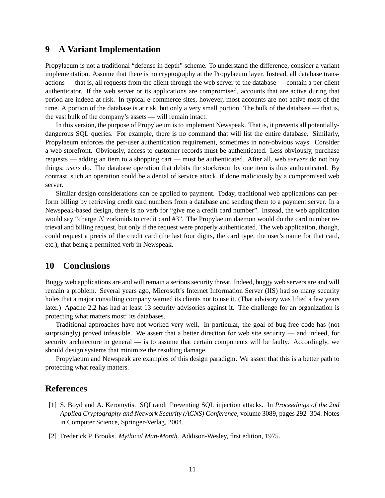# **9 A Variant Implementation**

Propylaeum is not a traditional "defense in depth" scheme. To understand the difference, consider a variant implementation. Assume that there is no cryptography at the Propylaeum layer. Instead, all database transactions — that is, all requests from the client through the web server to the database — contain a per-client authenticator. If the web server or its applications are compromised, accounts that are active during that period are indeed at risk. In typical e-commerce sites, however, most accounts are not active most of the time. A portion of the database is at risk, but only a very small portion. The bulk of the database — that is, the vast bulk of the company's assets — will remain intact.

In this version, the purpose of Propylaeum is to implement Newspeak. That is, it prevents all potentiallydangerous SQL queries. For example, there is no command that will list the entire database. Similarly, Propylaeum enforces the per-user authentication requirement, sometimes in non-obvious ways. Consider a web storefront. Obviously, access to customer records must be authenticated. Less obviously, purchase requests — adding an item to a shopping cart — must be authenticated. After all, web *servers* do not buy things; *users* do. The database operation that debits the stockroom by one item is thus authenticated. By contrast, such an operation could be a denial of service attack, if done maliciously by a compromised web server.

Similar design considerations can be applied to payment. Today, traditional web applications can perform billing by retrieving credit card numbers from a database and sending them to a payment server. In a Newspeak-based design, there is no verb for "give me a credit card number". Instead, the web application would say "charge N zorkmids to credit card #3". The Propylaeum daemon would do the card number retrieval and billing request, but only if the request were properly authenticated. The web application, though, could request a precis of the credit card (the last four digits, the card type, the user's name for that card, etc.), that being a permitted verb in Newspeak.

### **10 Conclusions**

Buggy web applications are and will remain a serious security threat. Indeed, buggy web servers are and will remain a problem. Several years ago, Microsoft's Internet Information Server (IIS) had so many security holes that a major consulting company warned its clients not to use it. (That advisory was lifted a few years later.) Apache 2.2 has had at least 13 security advisories against it. The challenge for an organization is protecting what matters most: its databases.

Traditional approaches have not worked very well. In particular, the goal of bug-free code has (not surprisingly) proved infeasible. We assert that a better direction for web site security — and indeed, for security architecture in general — is to assume that certain components will be faulty. Accordingly, we should design systems that minimize the resulting damage.

Propylaeum and Newspeak are examples of this design paradigm. We assert that this is a better path to protecting what really matters.

### **References**

- [1] S. Boyd and A. Keromytis. SQLrand: Preventing SQL injection attacks. In *Proceedings of the 2nd Applied Cryptography and Network Security (ACNS) Conference*, volume 3089, pages 292–304. Notes in Computer Science, Springer-Verlag, 2004.
- [2] Frederick P. Brooks. *Mythical Man-Month*. Addison-Wesley, first edition, 1975.